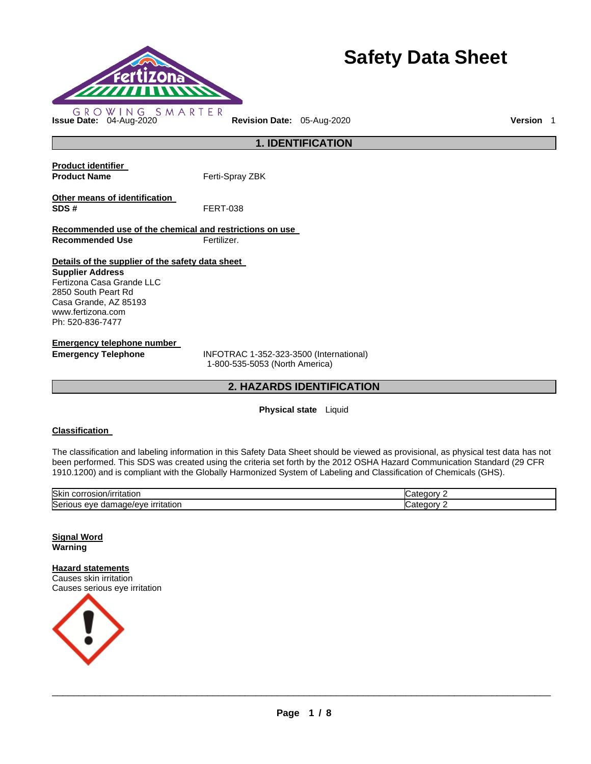

# **Safety Data Sheet**

**1. IDENTIFICATION Product identifier Product Name Ferti-Spray ZBK** 

**Other means of identification SDS #** FERT-038

**Recommended use of the chemical and restrictions on use Recommended Use Fertilizer.** 

**Details of the supplier of the safety data sheet** 

**Supplier Address** Fertizona Casa Grande LLC 2850 South Peart Rd Casa Grande, AZ 85193 www.fertizona.com Ph: 520-836-7477

**Emergency telephone number** 

**Emergency Telephone** INFOTRAC 1-352-323-3500 (International) 1-800-535-5053 (North America)

### **2. HAZARDS IDENTIFICATION**

### **Physical state** Liquid

### **Classification**

The classification and labeling information in this Safety Data Sheet should be viewed as provisional, as physical test data has not been performed. This SDS was created using the criteria set forth by the 2012 OSHA Hazard Communication Standard (29 CFR 1910.1200) and is compliant with the Globally Harmonized System of Labeling and Classification of Chemicals (GHS).

| Skin<br>/irritatior<br>rosion<br>JOHL.         | ็คt⊧<br>aor    |
|------------------------------------------------|----------------|
| Serious<br>mage/eye<br>ˈrɪtatıon<br>eve<br>dar | ัี าf⊩.<br>aor |

**Signal Word Warning** 

**Hazard statements** Causes skin irritation Causes serious eye irritation

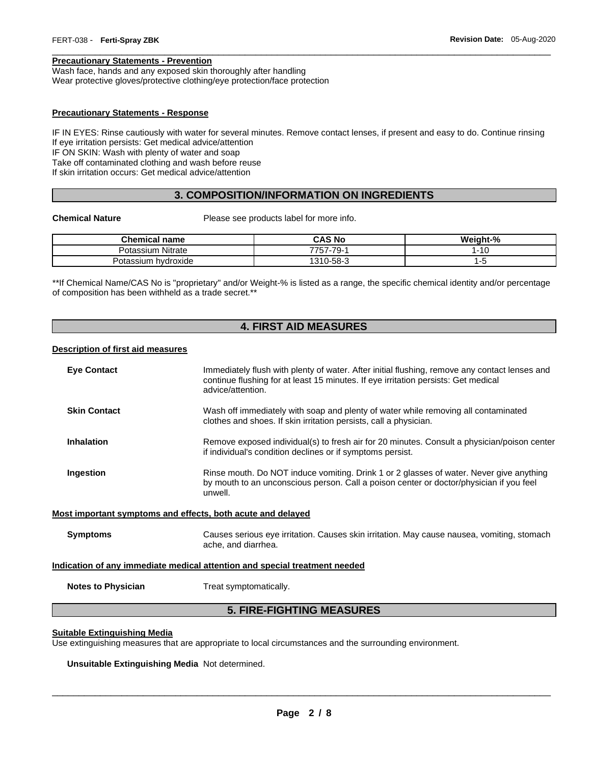#### **Precautionary Statements - Prevention**

Wash face, hands and any exposed skin thoroughly after handling

Wear protective gloves/protective clothing/eye protection/face protection

#### **Precautionary Statements - Response**

IF IN EYES: Rinse cautiously with water for several minutes. Remove contact lenses, if present and easy to do. Continue rinsing If eye irritation persists: Get medical advice/attention IF ON SKIN: Wash with plenty of water and soap Take off contaminated clothing and wash before reuse

\_\_\_\_\_\_\_\_\_\_\_\_\_\_\_\_\_\_\_\_\_\_\_\_\_\_\_\_\_\_\_\_\_\_\_\_\_\_\_\_\_\_\_\_\_\_\_\_\_\_\_\_\_\_\_\_\_\_\_\_\_\_\_\_\_\_\_\_\_\_\_\_\_\_\_\_\_\_\_\_\_\_\_\_\_\_\_\_\_\_\_\_\_

If skin irritation occurs: Get medical advice/attention

### **3. COMPOSITION/INFORMATION ON INGREDIENTS**

**Chemical Nature** Please see products label for more info.

| <b>Chemical name</b> | CAS No                              | <br>iaht-%<br>Weiar |
|----------------------|-------------------------------------|---------------------|
| Nitrate<br>Potassium | $\overline{\phantom{a}}$<br>/5/-/9- | -10                 |
| Potassium hydroxide  | 1310-58-3                           |                     |

\*\*If Chemical Name/CAS No is "proprietary" and/or Weight-% is listed as a range, the specific chemical identity and/or percentage of composition has been withheld as a trade secret.\*\*

### **4. FIRST AID MEASURES**

#### **Description of first aid measures**

| <b>Eye Contact</b>                                          | Immediately flush with plenty of water. After initial flushing, remove any contact lenses and<br>continue flushing for at least 15 minutes. If eye irritation persists: Get medical<br>advice/attention. |
|-------------------------------------------------------------|----------------------------------------------------------------------------------------------------------------------------------------------------------------------------------------------------------|
| <b>Skin Contact</b>                                         | Wash off immediately with soap and plenty of water while removing all contaminated<br>clothes and shoes. If skin irritation persists, call a physician.                                                  |
| <b>Inhalation</b>                                           | Remove exposed individual(s) to fresh air for 20 minutes. Consult a physician/poison center<br>if individual's condition declines or if symptoms persist.                                                |
| Ingestion                                                   | Rinse mouth. Do NOT induce vomiting. Drink 1 or 2 glasses of water. Never give anything<br>by mouth to an unconscious person. Call a poison center or doctor/physician if you feel<br>unwell.            |
| Most important symptoms and effects, both acute and delayed |                                                                                                                                                                                                          |
| <b>Symptoms</b>                                             | Causes serious eye irritation. Causes skin irritation. May cause nausea, vomiting, stomach<br>ache, and diarrhea.                                                                                        |
|                                                             | Indication of any immediate medical attention and special treatment needed                                                                                                                               |
| <b>Notes to Physician</b>                                   | Treat symptomatically.                                                                                                                                                                                   |

### **5. FIRE-FIGHTING MEASURES**

#### **Suitable Extinguishing Media**

Use extinguishing measures that are appropriate to local circumstances and the surrounding environment.

**Unsuitable Extinguishing Media** Not determined.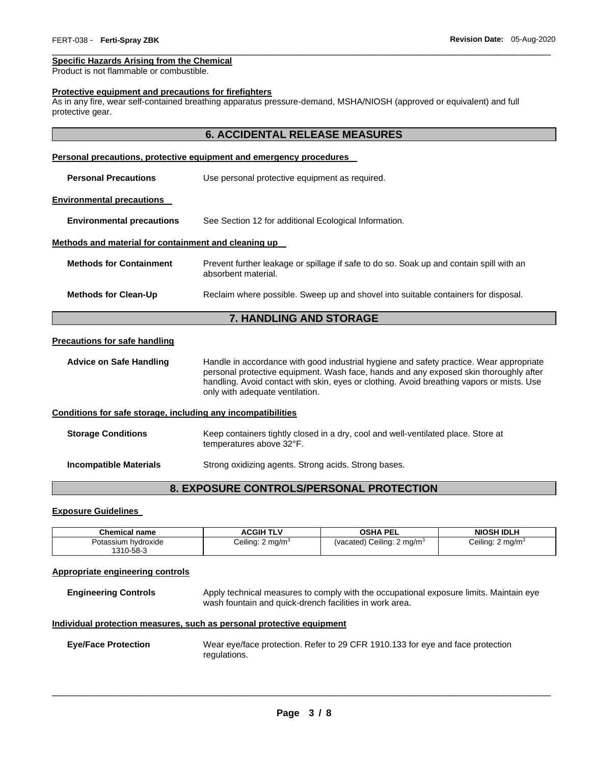### **Specific Hazards Arising from the Chemical**

Product is not flammable or combustible.

#### **Protective equipment and precautions for firefighters**

As in any fire, wear self-contained breathing apparatus pressure-demand, MSHA/NIOSH (approved or equivalent) and full protective gear.

### **6. ACCIDENTAL RELEASE MEASURES**

\_\_\_\_\_\_\_\_\_\_\_\_\_\_\_\_\_\_\_\_\_\_\_\_\_\_\_\_\_\_\_\_\_\_\_\_\_\_\_\_\_\_\_\_\_\_\_\_\_\_\_\_\_\_\_\_\_\_\_\_\_\_\_\_\_\_\_\_\_\_\_\_\_\_\_\_\_\_\_\_\_\_\_\_\_\_\_\_\_\_\_\_\_

|                                                              | Personal precautions, protective equipment and emergency procedures                                                                                                                                                                                                                                              |  |  |
|--------------------------------------------------------------|------------------------------------------------------------------------------------------------------------------------------------------------------------------------------------------------------------------------------------------------------------------------------------------------------------------|--|--|
| <b>Personal Precautions</b>                                  | Use personal protective equipment as required.                                                                                                                                                                                                                                                                   |  |  |
| <b>Environmental precautions</b>                             |                                                                                                                                                                                                                                                                                                                  |  |  |
| <b>Environmental precautions</b>                             | See Section 12 for additional Ecological Information.                                                                                                                                                                                                                                                            |  |  |
| Methods and material for containment and cleaning up         |                                                                                                                                                                                                                                                                                                                  |  |  |
| <b>Methods for Containment</b>                               | Prevent further leakage or spillage if safe to do so. Soak up and contain spill with an<br>absorbent material.                                                                                                                                                                                                   |  |  |
| <b>Methods for Clean-Up</b>                                  | Reclaim where possible. Sweep up and shovel into suitable containers for disposal.                                                                                                                                                                                                                               |  |  |
| 7. HANDLING AND STORAGE                                      |                                                                                                                                                                                                                                                                                                                  |  |  |
| <b>Precautions for safe handling</b>                         |                                                                                                                                                                                                                                                                                                                  |  |  |
| <b>Advice on Safe Handling</b>                               | Handle in accordance with good industrial hygiene and safety practice. Wear appropriate<br>personal protective equipment. Wash face, hands and any exposed skin thoroughly after<br>handling. Avoid contact with skin, eyes or clothing. Avoid breathing vapors or mists. Use<br>only with adequate ventilation. |  |  |
| Conditions for safe storage, including any incompatibilities |                                                                                                                                                                                                                                                                                                                  |  |  |
| <b>Storage Conditions</b>                                    | Keep containers tightly closed in a dry, cool and well-ventilated place. Store at                                                                                                                                                                                                                                |  |  |
|                                                              | temperatures above 32°F.                                                                                                                                                                                                                                                                                         |  |  |

### **8. EXPOSURE CONTROLS/PERSONAL PROTECTION**

#### **Exposure Guidelines**

| Chemical name                    | <b>ACGIH TLV</b>            | <b>OSHA PEL</b>                       | <b>NIOSH IDLH</b>   |
|----------------------------------|-----------------------------|---------------------------------------|---------------------|
| Potassium hydroxide<br>1310-58-3 | Ceiling: $2 \text{ mg/m}^3$ | (vacated) Ceiling: $2 \text{ mg/m}^3$ | Ceiling: 2 mg/m $3$ |

#### **Appropriate engineering controls**

**Engineering Controls** Apply technical measures to comply with the occupational exposure limits. Maintain eye wash fountain and quick-drench facilities in work area.

#### **Individual protection measures, such as personal protective equipment**

| <b>Eye/Face Protection</b> | Wear eye/face protection. Refer to 29 CFR 1910.133 for eye and face protection |
|----------------------------|--------------------------------------------------------------------------------|
|                            | regulations.                                                                   |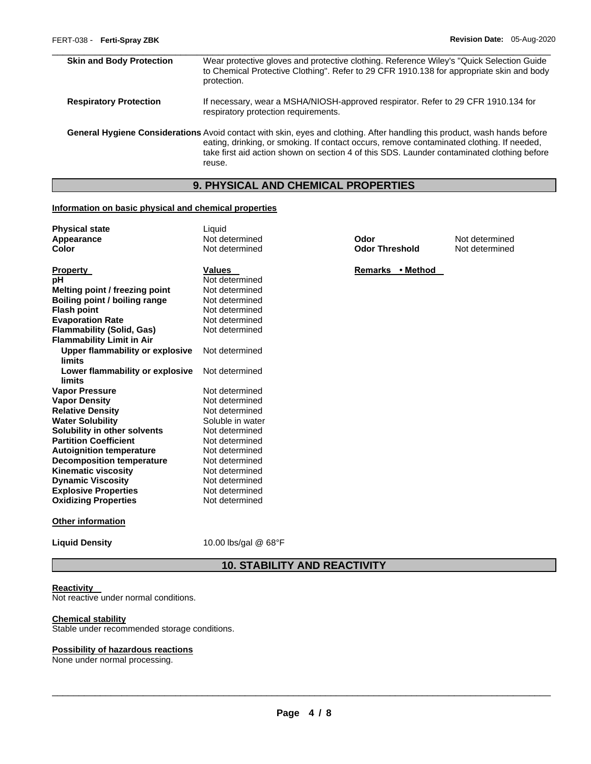| <b>Skin and Body Protection</b> | Wear protective gloves and protective clothing. Reference Wiley's "Quick Selection Guide"<br>to Chemical Protective Clothing". Refer to 29 CFR 1910.138 for appropriate skin and body<br>protection.                                                                                                                           |
|---------------------------------|--------------------------------------------------------------------------------------------------------------------------------------------------------------------------------------------------------------------------------------------------------------------------------------------------------------------------------|
| <b>Respiratory Protection</b>   | If necessary, wear a MSHA/NIOSH-approved respirator. Refer to 29 CFR 1910.134 for<br>respiratory protection requirements.                                                                                                                                                                                                      |
|                                 | General Hygiene Considerations Avoid contact with skin, eyes and clothing. After handling this product, wash hands before<br>eating, drinking, or smoking. If contact occurs, remove contaminated clothing. If needed,<br>take first aid action shown on section 4 of this SDS. Launder contaminated clothing before<br>reuse. |

## **9. PHYSICAL AND CHEMICAL PROPERTIES**

### **Information on basic physical and chemical properties**

| <b>Physical state</b>            | Liquid               |                       |                |
|----------------------------------|----------------------|-----------------------|----------------|
| Appearance                       | Not determined       | Odor                  | Not determined |
| Color                            | Not determined       | <b>Odor Threshold</b> | Not determined |
|                                  |                      |                       |                |
| <b>Property</b>                  | <b>Values</b>        | Remarks • Method      |                |
| pН                               | Not determined       |                       |                |
| Melting point / freezing point   | Not determined       |                       |                |
| Boiling point / boiling range    | Not determined       |                       |                |
| <b>Flash point</b>               | Not determined       |                       |                |
| <b>Evaporation Rate</b>          | Not determined       |                       |                |
| <b>Flammability (Solid, Gas)</b> | Not determined       |                       |                |
| <b>Flammability Limit in Air</b> |                      |                       |                |
| Upper flammability or explosive  | Not determined       |                       |                |
| limits                           |                      |                       |                |
| Lower flammability or explosive  | Not determined       |                       |                |
| limits                           |                      |                       |                |
| <b>Vapor Pressure</b>            | Not determined       |                       |                |
| <b>Vapor Density</b>             | Not determined       |                       |                |
| <b>Relative Density</b>          | Not determined       |                       |                |
| <b>Water Solubility</b>          | Soluble in water     |                       |                |
| Solubility in other solvents     | Not determined       |                       |                |
| <b>Partition Coefficient</b>     | Not determined       |                       |                |
| <b>Autoignition temperature</b>  | Not determined       |                       |                |
| <b>Decomposition temperature</b> | Not determined       |                       |                |
| <b>Kinematic viscosity</b>       | Not determined       |                       |                |
| <b>Dynamic Viscosity</b>         | Not determined       |                       |                |
| <b>Explosive Properties</b>      | Not determined       |                       |                |
| <b>Oxidizing Properties</b>      | Not determined       |                       |                |
| <b>Other information</b>         |                      |                       |                |
| <b>Liquid Density</b>            | 10.00 lbs/gal @ 68°F |                       |                |

## **10. STABILITY AND REACTIVITY**

### **Reactivity**

Not reactive under normal conditions.

#### **Chemical stability**

Stable under recommended storage conditions.

### **Possibility of hazardous reactions**

None under normal processing.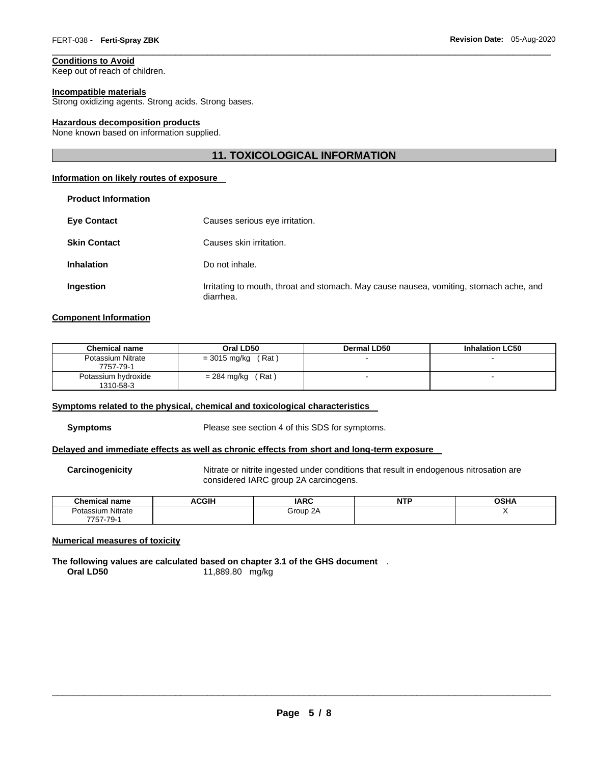#### **Conditions to Avoid**

Keep out of reach of children.

#### **Incompatible materials**

Strong oxidizing agents. Strong acids. Strong bases.

#### **Hazardous decomposition products**

None known based on information supplied.

### **11. TOXICOLOGICAL INFORMATION**

\_\_\_\_\_\_\_\_\_\_\_\_\_\_\_\_\_\_\_\_\_\_\_\_\_\_\_\_\_\_\_\_\_\_\_\_\_\_\_\_\_\_\_\_\_\_\_\_\_\_\_\_\_\_\_\_\_\_\_\_\_\_\_\_\_\_\_\_\_\_\_\_\_\_\_\_\_\_\_\_\_\_\_\_\_\_\_\_\_\_\_\_\_

#### **Information on likely routes of exposure**

| <b>Product Information</b> |                                                                                                     |
|----------------------------|-----------------------------------------------------------------------------------------------------|
| <b>Eye Contact</b>         | Causes serious eye irritation.                                                                      |
| <b>Skin Contact</b>        | Causes skin irritation.                                                                             |
| <b>Inhalation</b>          | Do not inhale.                                                                                      |
| Ingestion                  | Irritating to mouth, throat and stomach. May cause nausea, vomiting, stomach ache, and<br>diarrhea. |

#### **Component Information**

| <b>Chemical name</b> | Oral LD50                 | <b>Dermal LD50</b> | <b>Inhalation LC50</b> |
|----------------------|---------------------------|--------------------|------------------------|
| Potassium Nitrate    | ′ Rat `<br>$= 3015$ mg/kg | $-$                |                        |
| 7757-79-1            |                           |                    |                        |
| Potassium hydroxide  | Rat \<br>$= 284$ mg/kg    |                    |                        |
| 1310-58-3            |                           |                    |                        |

#### **Symptoms related to the physical, chemical and toxicological characteristics**

**Symptoms** Please see section 4 of this SDS for symptoms.

#### **Delayed and immediate effects as well as chronic effects from short and long-term exposure**

**Carcinogenicity** Nitrate or nitrite ingested under conditions that result in endogenous nitrosation are considered IARC group 2A carcinogens.

| <b>Chemical name</b> | <b>ACGIH</b> | <b>IARC</b> | <b>NTP</b> | <b>OSHA</b> |
|----------------------|--------------|-------------|------------|-------------|
| Nitrate<br>'otassium |              | Group 2A    |            |             |
| 7757-79-1            |              |             |            |             |

#### **Numerical measures of toxicity**

**The following values are calculated based on chapter 3.1 of the GHS document** . **Oral LD50** 11,889.80 mg/kg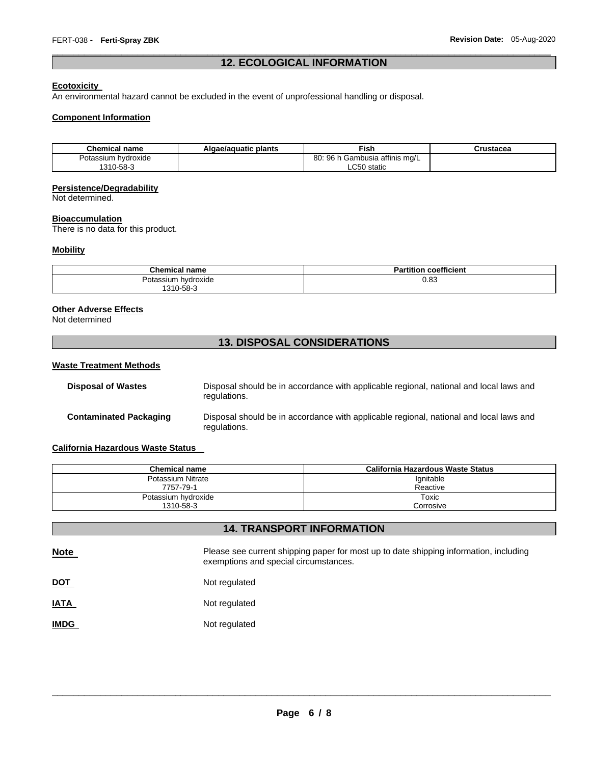#### \_\_\_\_\_\_\_\_\_\_\_\_\_\_\_\_\_\_\_\_\_\_\_\_\_\_\_\_\_\_\_\_\_\_\_\_\_\_\_\_\_\_\_\_\_\_\_\_\_\_\_\_\_\_\_\_\_\_\_\_\_\_\_\_\_\_\_\_\_\_\_\_\_\_\_\_\_\_\_\_\_\_\_\_\_\_\_\_\_\_\_\_\_ **12. ECOLOGICAL INFORMATION**

### **Ecotoxicity**

An environmental hazard cannot be excluded in the event of unprofessional handling or disposal.

#### **Component Information**

| <b>Chemical name</b> | Algae/aguatic plants | Fish                                 | Crustacea |
|----------------------|----------------------|--------------------------------------|-----------|
| Potassium hydroxide  |                      | Gambusia affinis mg/L<br>80.<br>ا 96 |           |
| 1310-58-3            |                      | LC50<br>0 static                     |           |

#### **Persistence/Degradability**

Not determined.

#### **Bioaccumulation**

There is no data for this product.

#### **Mobility**

| <b>Chemical name</b>             | coefficient<br>artition<br>יי |
|----------------------------------|-------------------------------|
| hvdroxide<br>$\sim$<br>Potassium | 0.83                          |
| 1310-58-3                        |                               |

### **Other Adverse Effects**

Not determined

### **13. DISPOSAL CONSIDERATIONS**

#### **Waste Treatment Methods**

| <b>Disposal of Wastes</b>     | Disposal should be in accordance with applicable regional, national and local laws and<br>regulations. |
|-------------------------------|--------------------------------------------------------------------------------------------------------|
| <b>Contaminated Packaging</b> | Disposal should be in accordance with applicable regional, national and local laws and<br>regulations. |

#### **California Hazardous Waste Status**

| Chemical name       | California Hazardous Waste Status |
|---------------------|-----------------------------------|
| Potassium Nitrate   | lgnitable                         |
| 7757-79-1           | Reactive                          |
| Potassium hydroxide | Toxic                             |
| 1310-58-3           | Corrosive                         |

### **14. TRANSPORT INFORMATION**

| <b>Note</b> | Please see current shipping paper for most up to date shipping information, including<br>exemptions and special circumstances. |
|-------------|--------------------------------------------------------------------------------------------------------------------------------|
| DOT         | Not regulated                                                                                                                  |
| <u>IATA</u> | Not regulated                                                                                                                  |
| <b>IMDG</b> | Not regulated                                                                                                                  |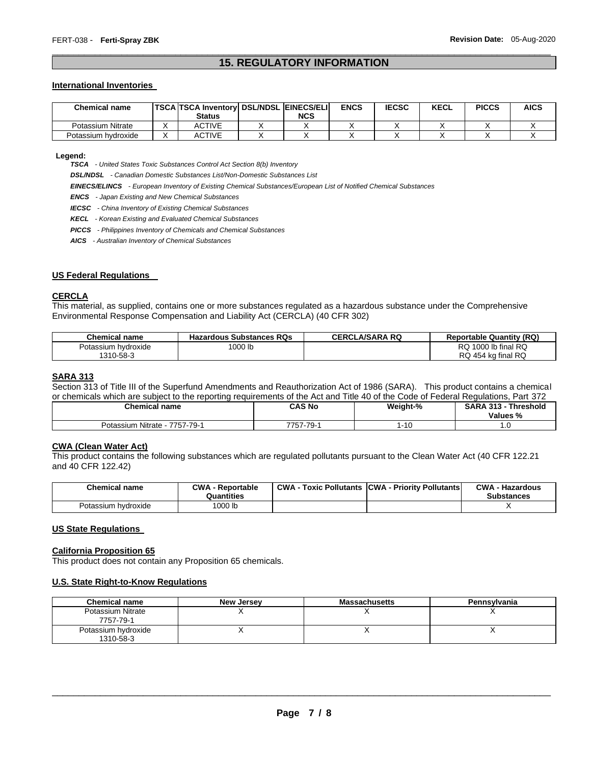#### \_\_\_\_\_\_\_\_\_\_\_\_\_\_\_\_\_\_\_\_\_\_\_\_\_\_\_\_\_\_\_\_\_\_\_\_\_\_\_\_\_\_\_\_\_\_\_\_\_\_\_\_\_\_\_\_\_\_\_\_\_\_\_\_\_\_\_\_\_\_\_\_\_\_\_\_\_\_\_\_\_\_\_\_\_\_\_\_\_\_\_\_\_ **15. REGULATORY INFORMATION**

#### **International Inventories**

| <b>Chemical name</b> | TSCA  TSCA Inventory   DSL/NDSL  EINECS/ELI  <br><b>Status</b> | <b>NCS</b> | <b>ENCS</b> | <b>IECSC</b> | KECL | <b>PICCS</b> | <b>AICS</b> |
|----------------------|----------------------------------------------------------------|------------|-------------|--------------|------|--------------|-------------|
| Potassium Nitrate    | <b>ACTIVE</b>                                                  |            |             |              |      |              |             |
| Potassium hydroxide  | ACTIVE                                                         |            |             |              |      |              |             |

#### **Legend:**

*TSCA - United States Toxic Substances Control Act Section 8(b) Inventory* 

*DSL/NDSL - Canadian Domestic Substances List/Non-Domestic Substances List* 

*EINECS/ELINCS - European Inventory of Existing Chemical Substances/European List of Notified Chemical Substances* 

*ENCS - Japan Existing and New Chemical Substances* 

*IECSC - China Inventory of Existing Chemical Substances* 

*KECL - Korean Existing and Evaluated Chemical Substances* 

*PICCS - Philippines Inventory of Chemicals and Chemical Substances* 

*AICS - Australian Inventory of Chemical Substances* 

#### **US Federal Regulations**

#### **CERCLA**

This material, as supplied, contains one or more substances regulated as a hazardous substance under the Comprehensive Environmental Response Compensation and Liability Act (CERCLA) (40 CFR 302)

| <b>Chemical name</b> | <b>Hazardous Substances RQs</b> | <b>CERCLA/SARA RQ</b> | <b>Reportable Quantity (RQ)</b> |
|----------------------|---------------------------------|-----------------------|---------------------------------|
| Potassium hydroxide  | 1000 lb                         |                       | RQ 1000 lb final RQ             |
| 1310-58-3            |                                 |                       | RQ 454 kg final RQ              |

#### **SARA 313**

Section 313 of Title III of the Superfund Amendments and Reauthorization Act of 1986 (SARA). This product contains a chemical or chemicals which are subject to the reporting requirements of the Act and Title 40 of the Code of Federal Regulations, Part 372

| <b>Chemical name</b>               | CAS No   | Weight-% | Threshold<br>SARA<br>$313 -$<br>Values % |
|------------------------------------|----------|----------|------------------------------------------|
| Nitrate -<br>7757-79-<br>Potassium | 7757-79- | $-1$ u   | . . ب                                    |

#### **CWA (Clean Water Act)**

This product contains the following substances which are regulated pollutants pursuant to the Clean Water Act (40 CFR 122.21 and 40 CFR 122.42)

| <b>Chemical name</b> | <b>CWA - Reportable</b><br>Quantities | <b>CWA</b> | Toxic Pollutants CWA - Priority Pollutants | <b>CWA - Hazardous</b><br><b>Substances</b> |
|----------------------|---------------------------------------|------------|--------------------------------------------|---------------------------------------------|
| Potassium hydroxide  | 1000 lb                               |            |                                            |                                             |

#### **US State Regulations**

#### **California Proposition 65**

This product does not contain any Proposition 65 chemicals.

#### **U.S. State Right-to-Know Regulations**

| <b>Chemical name</b>             | <b>New Jersey</b> | <b>Massachusetts</b> | Pennsylvania |
|----------------------------------|-------------------|----------------------|--------------|
| Potassium Nitrate<br>7757-79-1   |                   |                      |              |
| Potassium hydroxide<br>1310-58-3 |                   |                      |              |